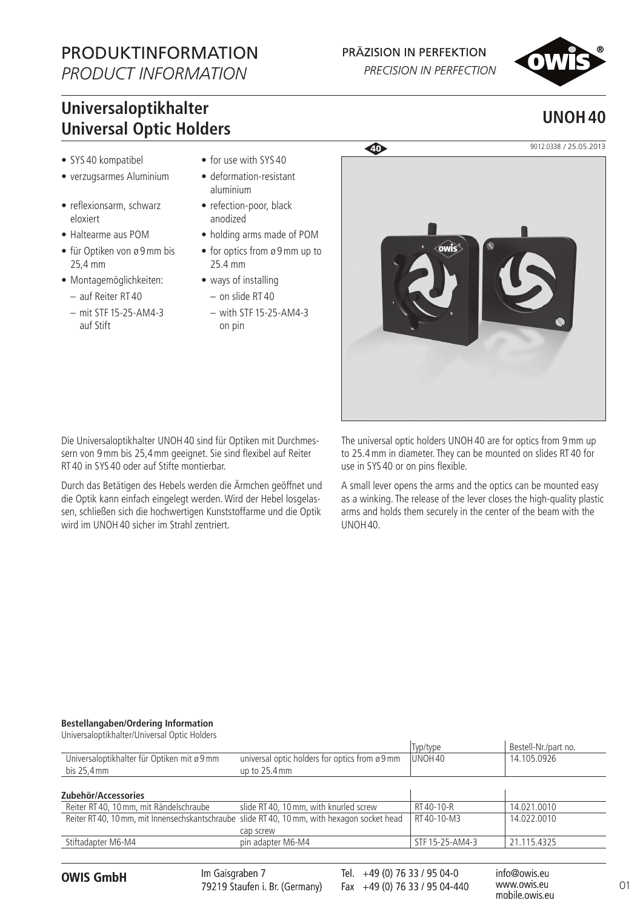# PRODUKTINFORMATION

*PRODUCT INFORMATION*

### PRÄZISION IN PERFEKTION

PRECISION IN PERFECTION



## **Universaloptikhalter Universal Optic Holders**

- SYS 40 kompatibel
- verzugsarmes Aluminium
- reflexionsarm, schwarz eloxiert
- Haltearme aus POM
- für Optiken von ø 9mm bis 25,4 mm
- Montagemöglichkeiten:
	- auf Reiter RT 40
	- mit STF 15-25-AM4-3 auf Stift
- for use with SYS 40
- deformation-resistant aluminium
- refection-poor, black anodized
- holding arms made of POM
- for optics from ø 9 mm up to 25.4 mm
- ways of installing
- on slide RT 40 – with STF 15-25-AM4-3 on pin



Die Universaloptikhalter UNOH40 sind für Optiken mit Durchmessern von 9mm bis 25,4mm geeignet. Sie sind flexibel auf Reiter RT 40 in SYS 40 oder auf Stifte montierbar.

Durch das Betätigen des Hebels werden die Ärmchen geöffnet und die Optik kann einfach eingelegt werden. Wird der Hebel losgelassen, schließen sich die hochwertigen Kunststoffarme und die Optik wird im UNOH40 sicher im Strahl zentriert.

The universal optic holders UNOH40 are for optics from 9mm up to 25.4mm in diameter. They can be mounted on slides RT 40 for use in SYS 40 or on pins flexible.

A small lever opens the arms and the optics can be mounted easy as a winking. The release of the lever closes the high-quality plastic arms and holds them securely in the center of the beam with the UNOH40.

#### **Bestellangaben/Ordering Information**

Universaloptikhalter/Universal Optic Holders Typ/type Bestell-Nr./part no.<br>UNOH 40 14.105.0926 Universaloptikhalter für Optiken mit ø 9mm bis 25,4mm universal optic holders for optics from ø 9mm up to 25.4mm 14.105.0926 **Zubehör/Accessories** Reiter RT 40, 10 mm, mit Rändelschraube slide RT 40, 10 mm, with knurled screw | RT 40-10-R | 14.021.0010 Reiter RT40, 10mm, mit Innensechskantschraube slide RT 40, 10mm, with hexagon socket head cap screw RT 40-10-M3 14.022.0010 Stiftadapter M6-M4 **pin adapter M6-M4** STF 15-25-AM4-3 21.115.4325

Im Gaisgraben 7 79219 Staufen i. Br. (Germany)

O1 **OWIS GmbH** info@owis.eu Fax +49 (0) 76 33 / 95 04-440 Tel. +49 (0) 76 33 / 95 04-0

www.owis.eu mobile.owis.eu

**UNOH40**